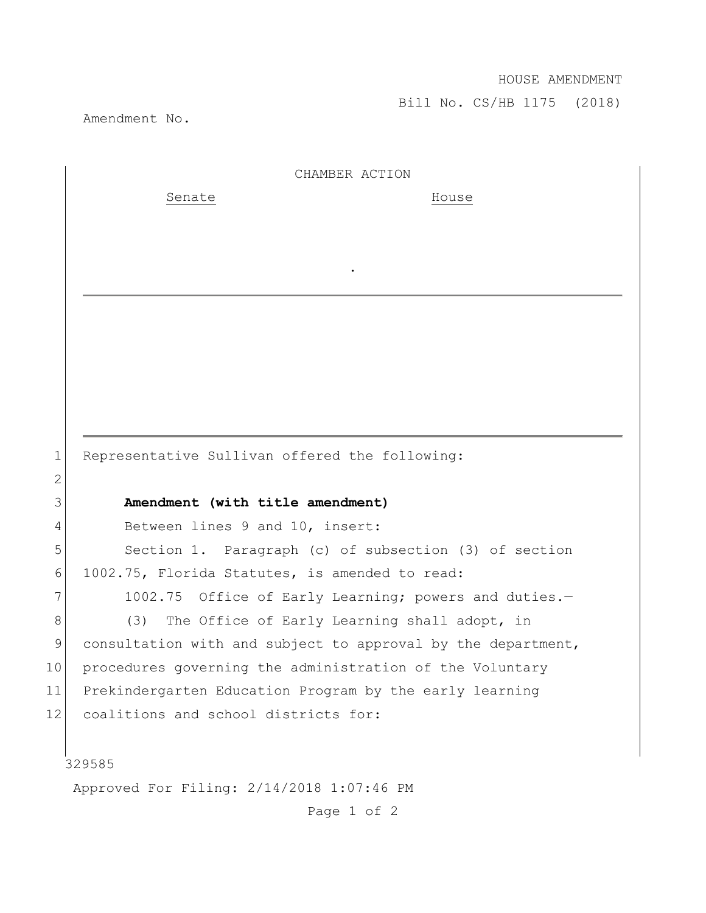## HOUSE AMENDMENT

Bill No. CS/HB 1175 (2018)

Amendment No.

|             | CHAMBER ACTION                                               |
|-------------|--------------------------------------------------------------|
|             | Senate<br>House                                              |
|             |                                                              |
|             |                                                              |
|             |                                                              |
|             |                                                              |
|             |                                                              |
|             |                                                              |
|             |                                                              |
|             |                                                              |
|             |                                                              |
| $\mathbf 1$ | Representative Sullivan offered the following:               |
| 2           |                                                              |
| 3           | Amendment (with title amendment)                             |
| 4           | Between lines 9 and 10, insert:                              |
| 5           | Section 1. Paragraph (c) of subsection (3) of section        |
| 6           | 1002.75, Florida Statutes, is amended to read:               |
| 7           | 1002.75 Office of Early Learning; powers and duties.-        |
| 8           | The Office of Early Learning shall adopt, in<br>(3)          |
| 9           | consultation with and subject to approval by the department, |
| 10          | procedures governing the administration of the Voluntary     |
| 11          | Prekindergarten Education Program by the early learning      |
| 12          | coalitions and school districts for:                         |
|             |                                                              |
|             | 329585                                                       |
|             | Approved For Filing: 2/14/2018 1:07:46 PM                    |

Page 1 of 2